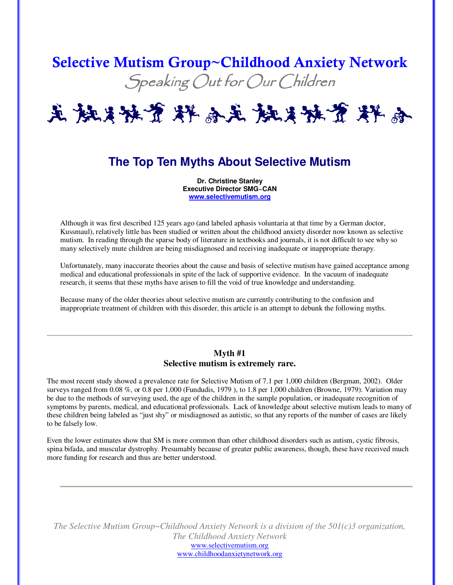# Selective Mutism Group~Childhood Anxiety Network Speaking Out for Our Children



# **The Top Ten Myths About Selective Mutism**

**Dr. Christine Stanley Executive Director SMG~CAN www.selectivemutism.org**

Although it was first described 125 years ago (and labeled aphasis voluntaria at that time by a German doctor, Kussmaul), relatively little has been studied or written about the childhood anxiety disorder now known as selective mutism. In reading through the sparse body of literature in textbooks and journals, it is not difficult to see why so many selectively mute children are being misdiagnosed and receiving inadequate or inappropriate therapy.

Unfortunately, many inaccurate theories about the cause and basis of selective mutism have gained acceptance among medical and educational professionals in spite of the lack of supportive evidence. In the vacuum of inadequate research, it seems that these myths have arisen to fill the void of true knowledge and understanding.

Because many of the older theories about selective mutism are currently contributing to the confusion and inappropriate treatment of children with this disorder, this article is an attempt to debunk the following myths.

# **Myth #1 Selective mutism is extremely rare.**

The most recent study showed a prevalence rate for Selective Mutism of 7.1 per 1,000 children (Bergman, 2002). Older surveys ranged from 0.08 %, or 0.8 per 1,000 (Fundudis, 1979 ), to 1.8 per 1,000 children (Browne, 1979). Variation may be due to the methods of surveying used, the age of the children in the sample population, or inadequate recognition of symptoms by parents, medical, and educational professionals. Lack of knowledge about selective mutism leads to many of these children being labeled as "just shy" or misdiagnosed as autistic, so that any reports of the number of cases are likely to be falsely low.

Even the lower estimates show that SM is more common than other childhood disorders such as autism, cystic fibrosis, spina bifada, and muscular dystrophy. Presumably because of greater public awareness, though, these have received much more funding for research and thus are better understood.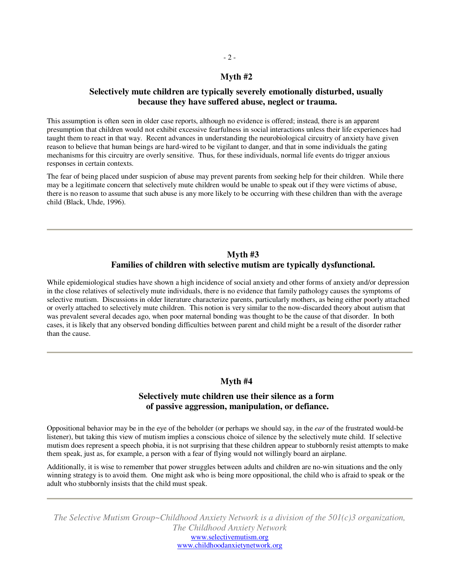#### **Myth #2**

## **Selectively mute children are typically severely emotionally disturbed, usually because they have suffered abuse, neglect or trauma.**

This assumption is often seen in older case reports, although no evidence is offered; instead, there is an apparent presumption that children would not exhibit excessive fearfulness in social interactions unless their life experiences had taught them to react in that way. Recent advances in understanding the neurobiological circuitry of anxiety have given reason to believe that human beings are hard-wired to be vigilant to danger, and that in some individuals the gating mechanisms for this circuitry are overly sensitive. Thus, for these individuals, normal life events do trigger anxious responses in certain contexts.

The fear of being placed under suspicion of abuse may prevent parents from seeking help for their children. While there may be a legitimate concern that selectively mute children would be unable to speak out if they were victims of abuse, there is no reason to assume that such abuse is any more likely to be occurring with these children than with the average child (Black, Uhde, 1996).

# **Myth #3**

# **Families of children with selective mutism are typically dysfunctional.**

While epidemiological studies have shown a high incidence of social anxiety and other forms of anxiety and/or depression in the close relatives of selectively mute individuals, there is no evidence that family pathology causes the symptoms of selective mutism. Discussions in older literature characterize parents, particularly mothers, as being either poorly attached or overly attached to selectively mute children. This notion is very similar to the now-discarded theory about autism that was prevalent several decades ago, when poor maternal bonding was thought to be the cause of that disorder. In both cases, it is likely that any observed bonding difficulties between parent and child might be a result of the disorder rather than the cause.

#### **Myth #4**

# **Selectively mute children use their silence as a form of passive aggression, manipulation, or defiance.**

Oppositional behavior may be in the eye of the beholder (or perhaps we should say, in the *ear* of the frustrated would-be listener), but taking this view of mutism implies a conscious choice of silence by the selectively mute child. If selective mutism does represent a speech phobia, it is not surprising that these children appear to stubbornly resist attempts to make them speak, just as, for example, a person with a fear of flying would not willingly board an airplane.

Additionally, it is wise to remember that power struggles between adults and children are no-win situations and the only winning strategy is to avoid them. One might ask who is being more oppositional, the child who is afraid to speak or the adult who stubbornly insists that the child must speak.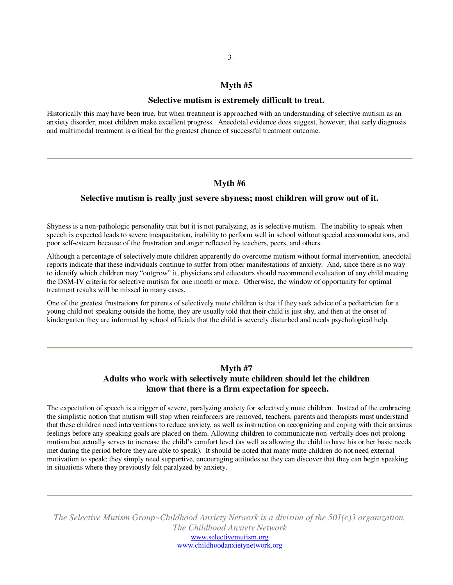## **Myth #5**

#### **Selective mutism is extremely difficult to treat.**

Historically this may have been true, but when treatment is approached with an understanding of selective mutism as an anxiety disorder, most children make excellent progress. Anecdotal evidence does suggest, however, that early diagnosis and multimodal treatment is critical for the greatest chance of successful treatment outcome.

#### **Myth #6**

#### **Selective mutism is really just severe shyness; most children will grow out of it.**

Shyness is a non-pathologic personality trait but it is not paralyzing, as is selective mutism. The inability to speak when speech is expected leads to severe incapacitation, inability to perform well in school without special accommodations, and poor self-esteem because of the frustration and anger reflected by teachers, peers, and others.

Although a percentage of selectively mute children apparently do overcome mutism without formal intervention, anecdotal reports indicate that these individuals continue to suffer from other manifestations of anxiety. And, since there is no way to identify which children may "outgrow" it, physicians and educators should recommend evaluation of any child meeting the DSM-IV criteria for selective mutism for one month or more. Otherwise, the window of opportunity for optimal treatment results will be missed in many cases.

One of the greatest frustrations for parents of selectively mute children is that if they seek advice of a pediatrician for a young child not speaking outside the home, they are usually told that their child is just shy, and then at the onset of kindergarten they are informed by school officials that the child is severely disturbed and needs psychological help.

# **Myth #7**

# **Adults who work with selectively mute children should let the children know that there is a firm expectation for speech.**

The expectation of speech is a trigger of severe, paralyzing anxiety for selectively mute children. Instead of the embracing the simplistic notion that mutism will stop when reinforcers are removed, teachers, parents and therapists must understand that these children need interventions to reduce anxiety, as well as instruction on recognizing and coping with their anxious feelings before any speaking goals are placed on them. Allowing children to communicate non-verbally does not prolong mutism but actually serves to increase the child's comfort level (as well as allowing the child to have his or her basic needs met during the period before they are able to speak). It should be noted that many mute children do not need external motivation to speak; they simply need supportive, encouraging attitudes so they can discover that they can begin speaking in situations where they previously felt paralyzed by anxiety.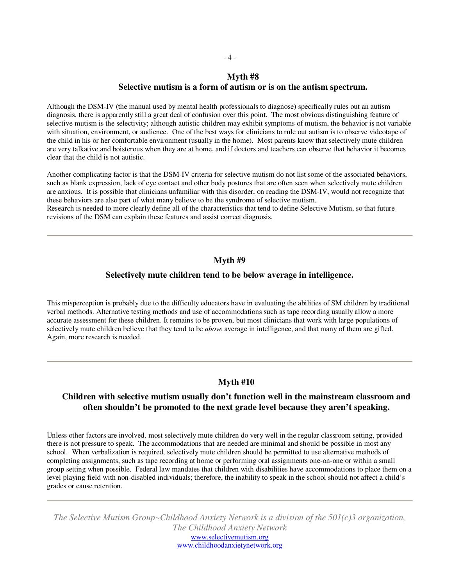#### **Myth #8**

#### **Selective mutism is a form of autism or is on the autism spectrum.**

Although the DSM-IV (the manual used by mental health professionals to diagnose) specifically rules out an autism diagnosis, there is apparently still a great deal of confusion over this point. The most obvious distinguishing feature of selective mutism is the selectivity; although autistic children may exhibit symptoms of mutism, the behavior is not variable with situation, environment, or audience. One of the best ways for clinicians to rule out autism is to observe videotape of the child in his or her comfortable environment (usually in the home). Most parents know that selectively mute children are very talkative and boisterous when they are at home, and if doctors and teachers can observe that behavior it becomes clear that the child is not autistic.

Another complicating factor is that the DSM-IV criteria for selective mutism do not list some of the associated behaviors, such as blank expression, lack of eye contact and other body postures that are often seen when selectively mute children are anxious. It is possible that clinicians unfamiliar with this disorder, on reading the DSM-IV, would not recognize that these behaviors are also part of what many believe to be the syndrome of selective mutism.

Research is needed to more clearly define all of the characteristics that tend to define Selective Mutism, so that future revisions of the DSM can explain these features and assist correct diagnosis.

#### **Myth #9**

#### **Selectively mute children tend to be below average in intelligence.**

This misperception is probably due to the difficulty educators have in evaluating the abilities of SM children by traditional verbal methods. Alternative testing methods and use of accommodations such as tape recording usually allow a more accurate assessment for these children. It remains to be proven, but most clinicians that work with large populations of selectively mute children believe that they tend to be *above* average in intelligence, and that many of them are gifted. Again, more research is needed.

# **Myth #10**

# **Children with selective mutism usually don't function well in the mainstream classroom and often shouldn't be promoted to the next grade level because they aren't speaking.**

Unless other factors are involved, most selectively mute children do very well in the regular classroom setting, provided there is not pressure to speak. The accommodations that are needed are minimal and should be possible in most any school. When verbalization is required, selectively mute children should be permitted to use alternative methods of completing assignments, such as tape recording at home or performing oral assignments one-on-one or within a small group setting when possible. Federal law mandates that children with disabilities have accommodations to place them on a level playing field with non-disabled individuals; therefore, the inability to speak in the school should not affect a child's grades or cause retention.